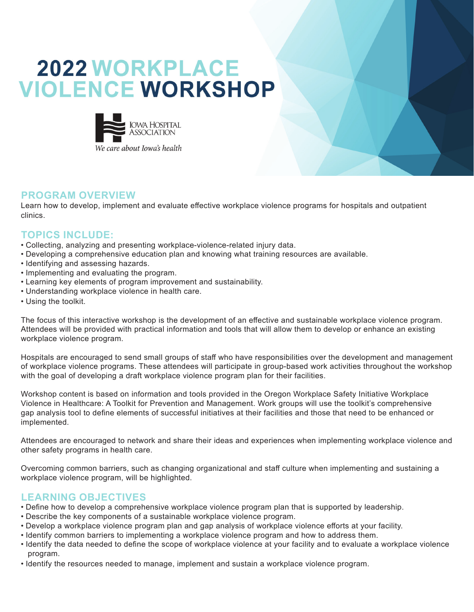# **2022 WORKPLACE VIOLENCE WORKSHOP**



#### **PROGRAM OVERVIEW**

Learn how to develop, implement and evaluate effective workplace violence programs for hospitals and outpatient clinics.

## **TOPICS INCLUDE:**

- Collecting, analyzing and presenting workplace-violence-related injury data.
- Developing a comprehensive education plan and knowing what training resources are available.
- Identifying and assessing hazards.
- Implementing and evaluating the program.
- Learning key elements of program improvement and sustainability.
- Understanding workplace violence in health care.
- Using the toolkit.

The focus of this interactive workshop is the development of an effective and sustainable workplace violence program. Attendees will be provided with practical information and tools that will allow them to develop or enhance an existing workplace violence program.

Hospitals are encouraged to send small groups of staff who have responsibilities over the development and management of workplace violence programs. These attendees will participate in group-based work activities throughout the workshop with the goal of developing a draft workplace violence program plan for their facilities.

Workshop content is based on information and tools provided in the Oregon Workplace Safety Initiative Workplace Violence in Healthcare: A Toolkit for Prevention and Management. Work groups will use the toolkit's comprehensive gap analysis tool to define elements of successful initiatives at their facilities and those that need to be enhanced or implemented.

Attendees are encouraged to network and share their ideas and experiences when implementing workplace violence and other safety programs in health care.

Overcoming common barriers, such as changing organizational and staff culture when implementing and sustaining a workplace violence program, will be highlighted.

#### **LEARNING OBJECTIVES**

- Define how to develop a comprehensive workplace violence program plan that is supported by leadership.
- Describe the key components of a sustainable workplace violence program.
- Develop a workplace violence program plan and gap analysis of workplace violence efforts at your facility.
- Identify common barriers to implementing a workplace violence program and how to address them.
- Identify the data needed to define the scope of workplace violence at your facility and to evaluate a workplace violence program.
- Identify the resources needed to manage, implement and sustain a workplace violence program.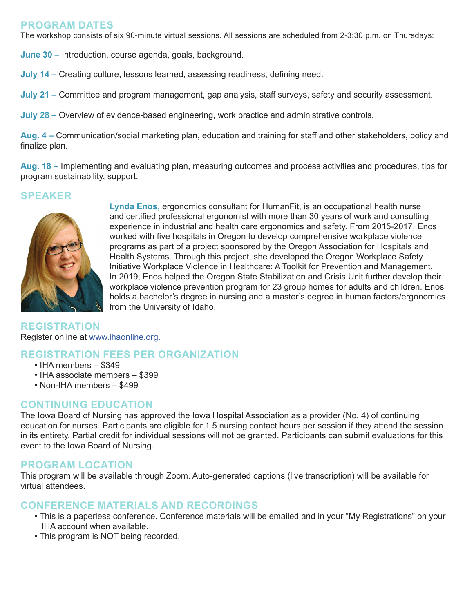#### **PROGRAM DATES**

The workshop consists of six 90-minute virtual sessions. All sessions are scheduled from 2-3:30 p.m. on Thursdays:

**June 30 –** Introduction, course agenda, goals, background.

**July 14 –** Creating culture, lessons learned, assessing readiness, defining need.

**July 21 –** Committee and program management, gap analysis, staff surveys, safety and security assessment.

**July 28 –** Overview of evidence-based engineering, work practice and administrative controls.

**Aug. 4 –** Communication/social marketing plan, education and training for staff and other stakeholders, policy and finalize plan.

**Aug. 18 –** Implementing and evaluating plan, measuring outcomes and process activities and procedures, tips for program sustainability, support.

## **SPEAKER**



**Lynda Enos**, ergonomics consultant for HumanFit, is an occupational health nurse and certified professional ergonomist with more than 30 years of work and consulting experience in industrial and health care ergonomics and safety. From 2015-2017, Enos worked with five hospitals in Oregon to develop comprehensive workplace violence programs as part of a project sponsored by the Oregon Association for Hospitals and Health Systems. Through this project, she developed the Oregon Workplace Safety Initiative Workplace Violence in Healthcare: A Toolkit for Prevention and Management. In 2019, Enos helped the Oregon State Stabilization and Crisis Unit further develop their workplace violence prevention program for 23 group homes for adults and children. Enos holds a bachelor's degree in nursing and a master's degree in human factors/ergonomics from the University of Idaho.

#### **REGISTRATION**

Register online at [www.ihaonline.org.](http://www.ihaonline.org)

## **REGISTRATION FEES PER ORGANIZATION**

- IHA members \$349
- IHA associate members \$399
- Non-IHA members \$499

#### **CONTINUING EDUCATION**

The Iowa Board of Nursing has approved the Iowa Hospital Association as a provider (No. 4) of continuing education for nurses. Participants are eligible for 1.5 nursing contact hours per session if they attend the session in its entirety. Partial credit for individual sessions will not be granted. Participants can submit evaluations for this event to the Iowa Board of Nursing.

## **PROGRAM LOCATION**

This program will be available through Zoom. Auto-generated captions (live transcription) will be available for virtual attendees.

## **CONFERENCE MATERIALS AND RECORDINGS**

- This is a paperless conference. Conference materials will be emailed and in your "My Registrations" on your IHA account when available.
- This program is NOT being recorded.